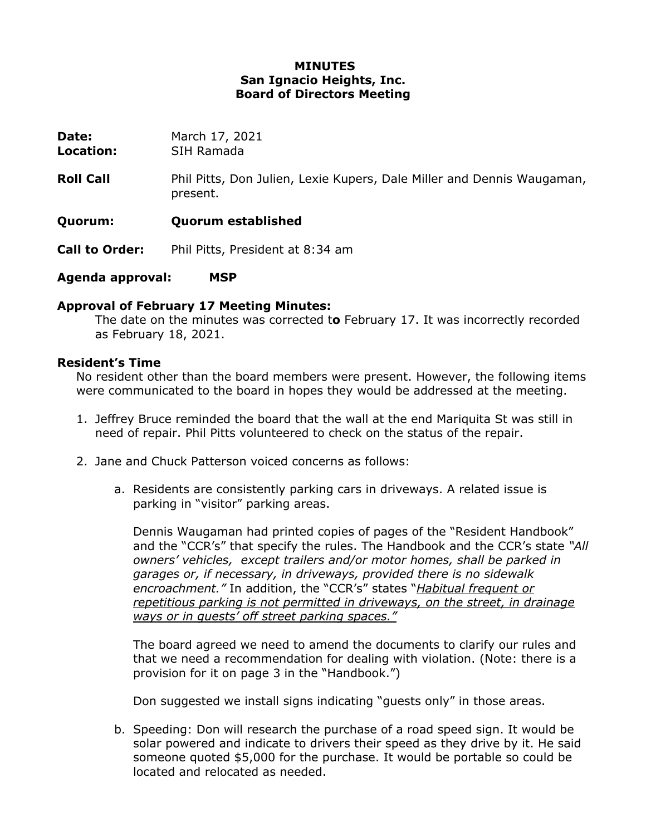## **MINUTES San Ignacio Heights, Inc. Board of Directors Meeting**

| Date:<br>Location:    | March 17, 2021<br>SIH Ramada                                                       |
|-----------------------|------------------------------------------------------------------------------------|
| <b>Roll Call</b>      | Phil Pitts, Don Julien, Lexie Kupers, Dale Miller and Dennis Waugaman,<br>present. |
| Quorum:               | <b>Quorum established</b>                                                          |
| <b>Call to Order:</b> | Phil Pitts, President at 8:34 am                                                   |

**Agenda approval: MSP**

## **Approval of February 17 Meeting Minutes:**

The date on the minutes was corrected t**o** February 17. It was incorrectly recorded as February 18, 2021.

#### **Resident's Time**

No resident other than the board members were present. However, the following items were communicated to the board in hopes they would be addressed at the meeting.

- 1. Jeffrey Bruce reminded the board that the wall at the end Mariquita St was still in need of repair. Phil Pitts volunteered to check on the status of the repair.
- 2. Jane and Chuck Patterson voiced concerns as follows:
	- a. Residents are consistently parking cars in driveways. A related issue is parking in "visitor" parking areas.

Dennis Waugaman had printed copies of pages of the "Resident Handbook" and the "CCR's" that specify the rules. The Handbook and the CCR's state *"All owners' vehicles, except trailers and/or motor homes, shall be parked in garages or, if necessary, in driveways, provided there is no sidewalk encroachment."* In addition, the "CCR's" states "*Habitual frequent or repetitious parking is not permitted in driveways, on the street, in drainage ways or in guests' off street parking spaces."* 

The board agreed we need to amend the documents to clarify our rules and that we need a recommendation for dealing with violation. (Note: there is a provision for it on page 3 in the "Handbook.")

Don suggested we install signs indicating "guests only" in those areas.

b. Speeding: Don will research the purchase of a road speed sign. It would be solar powered and indicate to drivers their speed as they drive by it. He said someone quoted \$5,000 for the purchase. It would be portable so could be located and relocated as needed.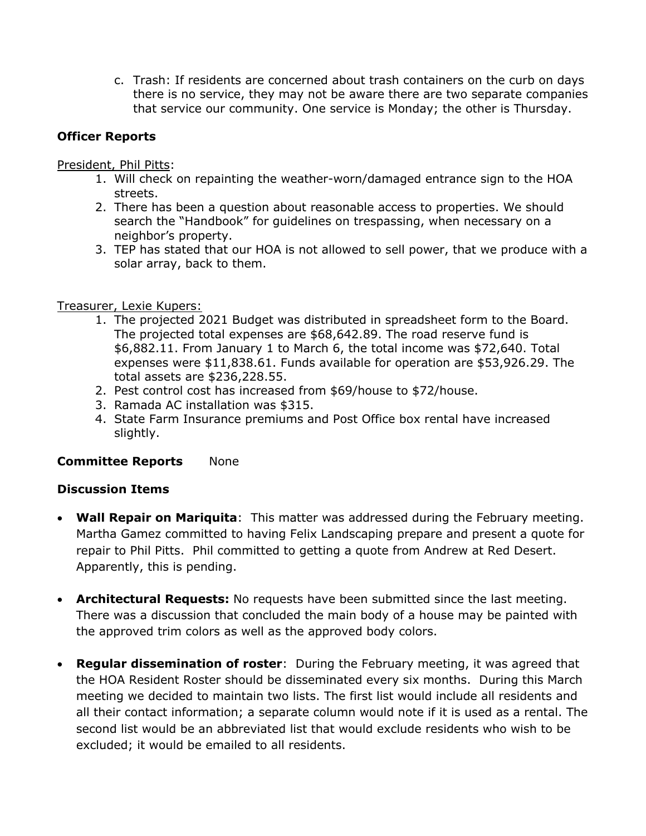c. Trash: If residents are concerned about trash containers on the curb on days there is no service, they may not be aware there are two separate companies that service our community. One service is Monday; the other is Thursday.

# **Officer Reports**

President, Phil Pitts:

- 1. Will check on repainting the weather-worn/damaged entrance sign to the HOA streets.
- 2. There has been a question about reasonable access to properties. We should search the "Handbook" for guidelines on trespassing, when necessary on a neighbor's property.
- 3. TEP has stated that our HOA is not allowed to sell power, that we produce with a solar array, back to them.

## Treasurer, Lexie Kupers:

- 1. The projected 2021 Budget was distributed in spreadsheet form to the Board. The projected total expenses are \$68,642.89. The road reserve fund is \$6,882.11. From January 1 to March 6, the total income was \$72,640. Total expenses were \$11,838.61. Funds available for operation are \$53,926.29. The total assets are \$236,228.55.
- 2. Pest control cost has increased from \$69/house to \$72/house.
- 3. Ramada AC installation was \$315.
- 4. State Farm Insurance premiums and Post Office box rental have increased slightly.

# **Committee Reports** None

# **Discussion Items**

- **Wall Repair on Mariquita**: This matter was addressed during the February meeting. Martha Gamez committed to having Felix Landscaping prepare and present a quote for repair to Phil Pitts. Phil committed to getting a quote from Andrew at Red Desert. Apparently, this is pending.
- **Architectural Requests:** No requests have been submitted since the last meeting. There was a discussion that concluded the main body of a house may be painted with the approved trim colors as well as the approved body colors.
- **Regular dissemination of roster**: During the February meeting, it was agreed that the HOA Resident Roster should be disseminated every six months. During this March meeting we decided to maintain two lists. The first list would include all residents and all their contact information; a separate column would note if it is used as a rental. The second list would be an abbreviated list that would exclude residents who wish to be excluded; it would be emailed to all residents.